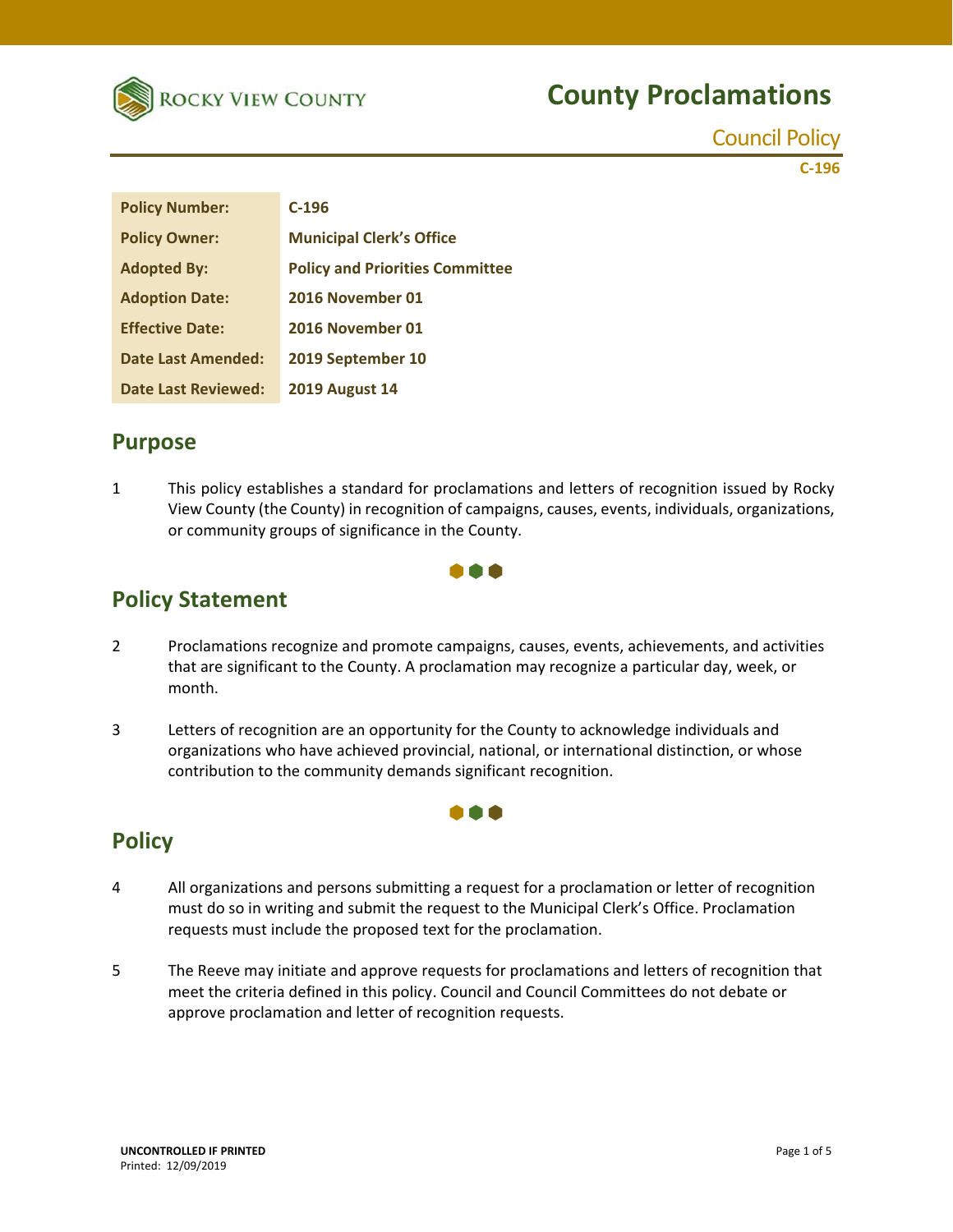

Council Policy

**C‐196**

| <b>Policy Number:</b>      | $C-196$                                |
|----------------------------|----------------------------------------|
| <b>Policy Owner:</b>       | <b>Municipal Clerk's Office</b>        |
| <b>Adopted By:</b>         | <b>Policy and Priorities Committee</b> |
| <b>Adoption Date:</b>      | 2016 November 01                       |
| <b>Effective Date:</b>     | 2016 November 01                       |
| Date Last Amended:         | 2019 September 10                      |
| <b>Date Last Reviewed:</b> | <b>2019 August 14</b>                  |

### **Purpose**

1 This policy establishes a standard for proclamations and letters of recognition issued by Rocky View County (the County) in recognition of campaigns, causes, events, individuals, organizations, or community groups of significance in the County.



### **Policy Statement**

- 2 Proclamations recognize and promote campaigns, causes, events, achievements, and activities that are significant to the County. A proclamation may recognize a particular day, week, or month.
- 3 Letters of recognition are an opportunity for the County to acknowledge individuals and organizations who have achieved provincial, national, or international distinction, or whose contribution to the community demands significant recognition.

### **Policy**

4 All organizations and persons submitting a request for a proclamation or letter of recognition must do so in writing and submit the request to the Municipal Clerk's Office. Proclamation requests must include the proposed text for the proclamation.

000

5 The Reeve may initiate and approve requests for proclamations and letters of recognition that meet the criteria defined in this policy. Council and Council Committees do not debate or approve proclamation and letter of recognition requests.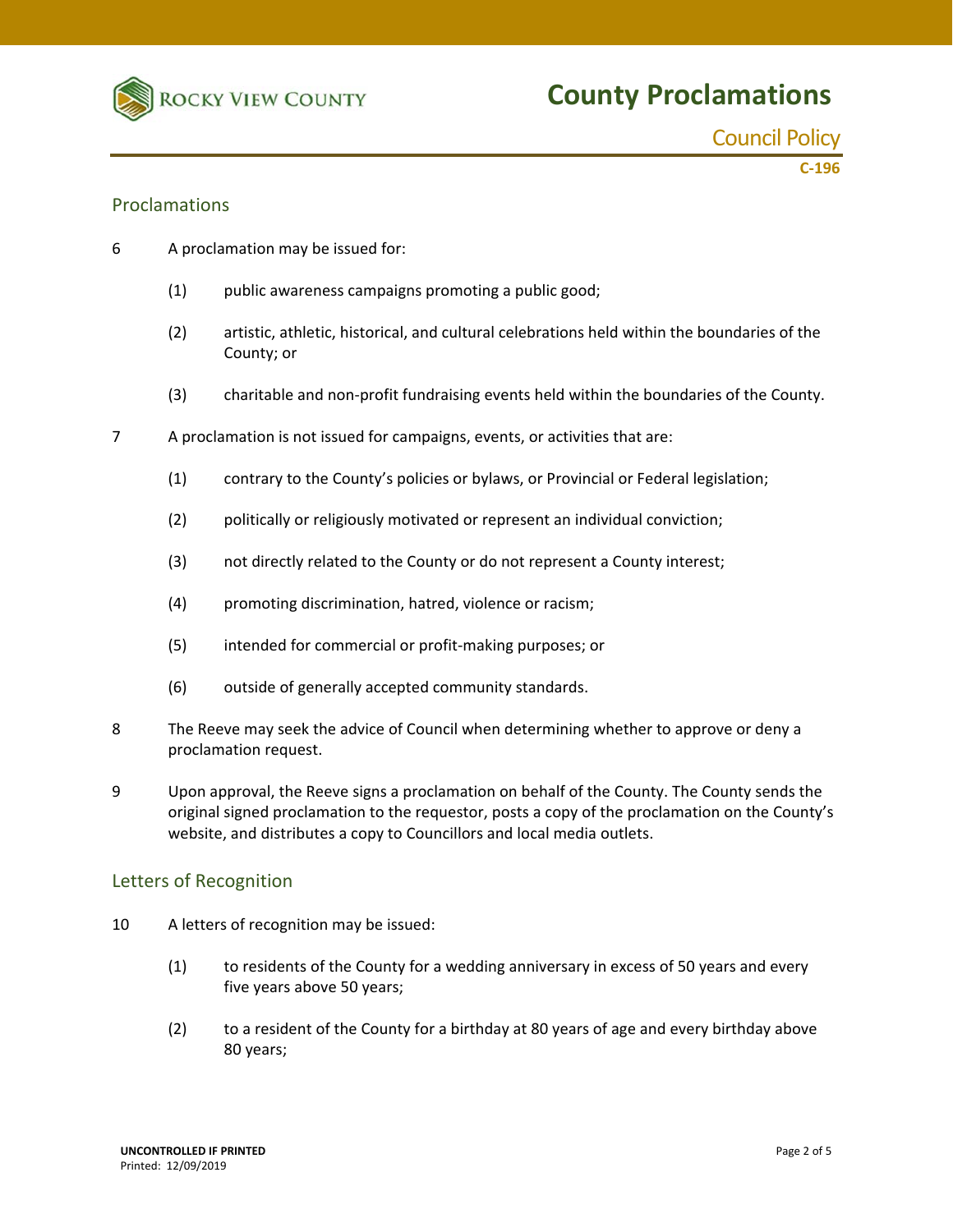

**C‐196**

#### Proclamations

- 6 A proclamation may be issued for:
	- (1) public awareness campaigns promoting a public good;
	- (2) artistic, athletic, historical, and cultural celebrations held within the boundaries of the County; or
	- (3) charitable and non‐profit fundraising events held within the boundaries of the County.
- 7 A proclamation is not issued for campaigns, events, or activities that are:
	- (1) contrary to the County's policies or bylaws, or Provincial or Federal legislation;
	- (2) politically or religiously motivated or represent an individual conviction;
	- (3) not directly related to the County or do not represent a County interest;
	- (4) promoting discrimination, hatred, violence or racism;
	- (5) intended for commercial or profit‐making purposes; or
	- (6) outside of generally accepted community standards.
- 8 The Reeve may seek the advice of Council when determining whether to approve or deny a proclamation request.
- 9 Upon approval, the Reeve signs a proclamation on behalf of the County. The County sends the original signed proclamation to the requestor, posts a copy of the proclamation on the County's website, and distributes a copy to Councillors and local media outlets.

#### Letters of Recognition

- 10 A letters of recognition may be issued:
	- (1) to residents of the County for a wedding anniversary in excess of 50 years and every five years above 50 years;
	- (2) to a resident of the County for a birthday at 80 years of age and every birthday above 80 years;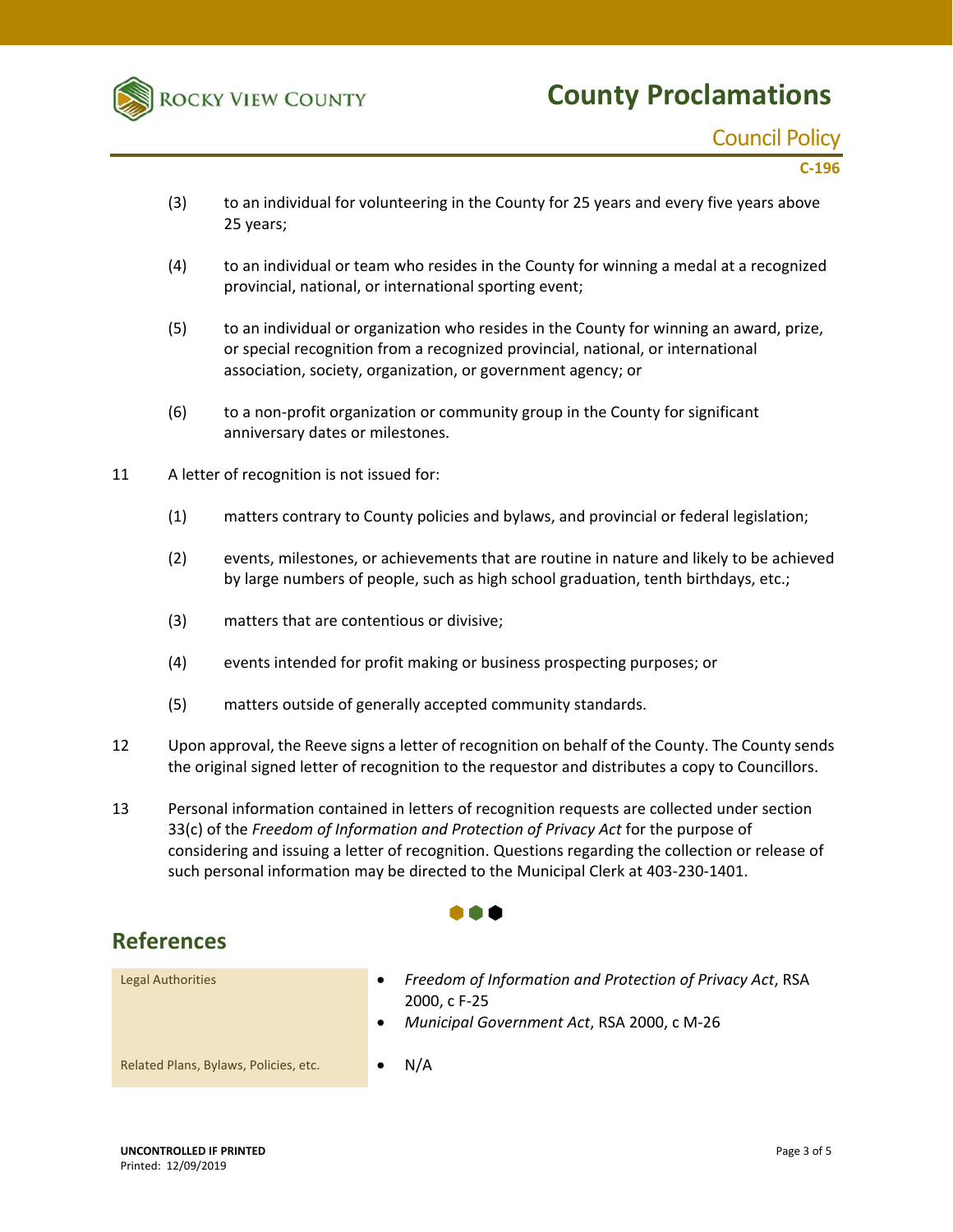

### Council Policy

**C‐196**

- (3) to an individual for volunteering in the County for 25 years and every five years above 25 years;
- (4) to an individual or team who resides in the County for winning a medal at a recognized provincial, national, or international sporting event;
- (5) to an individual or organization who resides in the County for winning an award, prize, or special recognition from a recognized provincial, national, or international association, society, organization, or government agency; or
- (6) to a non‐profit organization or community group in the County for significant anniversary dates or milestones.
- 11 A letter of recognition is not issued for:
	- (1) matters contrary to County policies and bylaws, and provincial or federal legislation;
	- (2) events, milestones, or achievements that are routine in nature and likely to be achieved by large numbers of people, such as high school graduation, tenth birthdays, etc.;
	- (3) matters that are contentious or divisive;
	- (4) events intended for profit making or business prospecting purposes; or
	- (5) matters outside of generally accepted community standards.
- 12 Upon approval, the Reeve signs a letter of recognition on behalf of the County. The County sends the original signed letter of recognition to the requestor and distributes a copy to Councillors.
- 13 Personal information contained in letters of recognition requests are collected under section 33(c) of the *Freedom of Information and Protection of Privacy Act* for the purpose of considering and issuing a letter of recognition. Questions regarding the collection or release of such personal information may be directed to the Municipal Clerk at 403-230-1401.

#### 88 A

#### **References**

Legal Authorities *Freedom of Information and Protection of Privacy Act*, RSA 2000, c F‐25 *Municipal Government Act*, RSA 2000, c M‐26 Related Plans, Bylaws, Policies, etc.  **COVID- OV**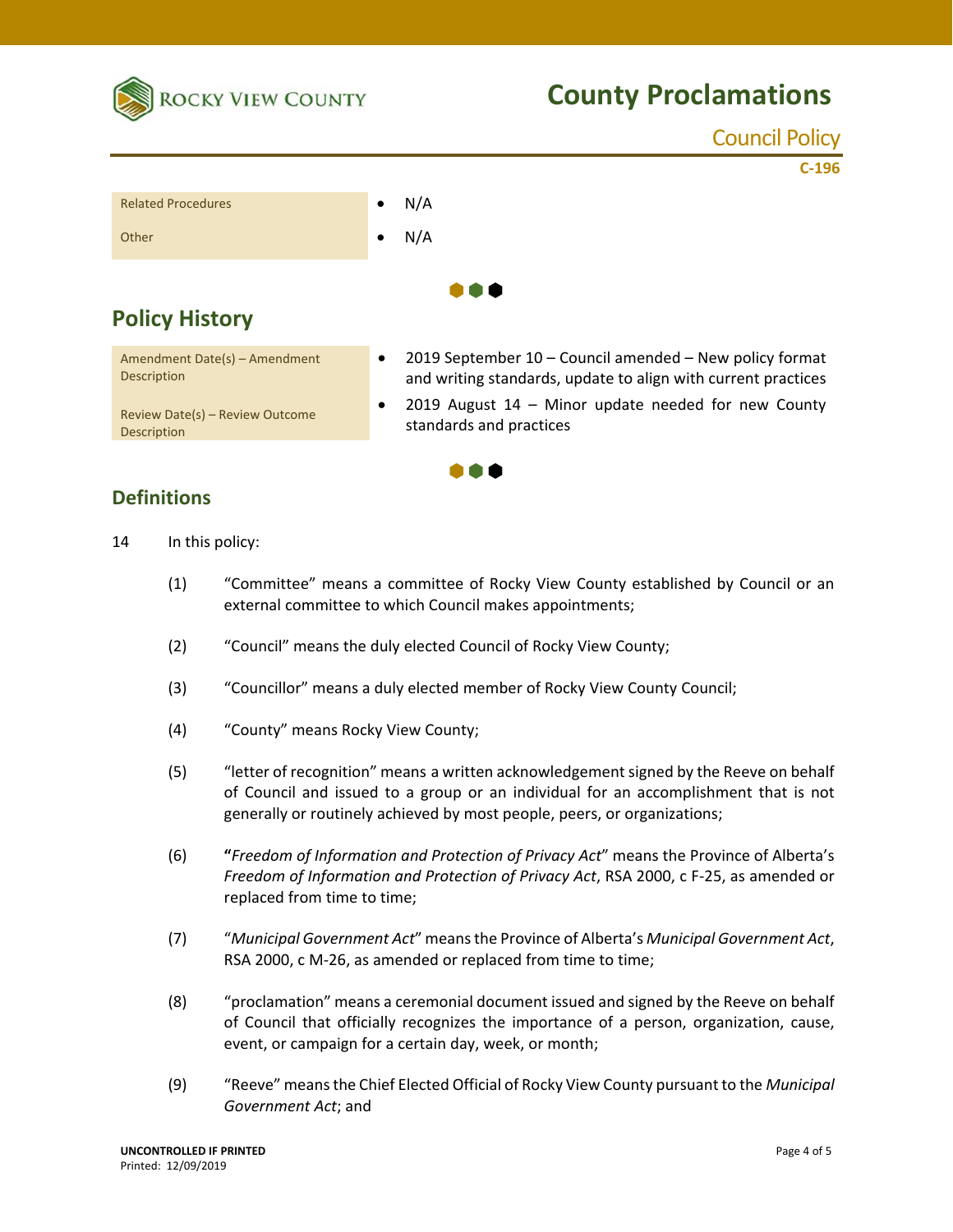

|                                                     |           | <b>Council Policy</b>                                                                                                    |
|-----------------------------------------------------|-----------|--------------------------------------------------------------------------------------------------------------------------|
|                                                     |           | $C-196$                                                                                                                  |
| <b>Related Procedures</b>                           | $\bullet$ | N/A                                                                                                                      |
| Other                                               | $\bullet$ | N/A                                                                                                                      |
|                                                     |           |                                                                                                                          |
| <b>Policy History</b>                               |           |                                                                                                                          |
| Amendment Date(s) - Amendment<br><b>Description</b> | $\bullet$ | 2019 September 10 - Council amended - New policy format<br>and writing standards, update to align with current practices |

. . .

Review Date(s) – Review Outcome **Description** 

2019 August  $14$  – Minor update needed for new County standards and practices

#### **Definitions**

- 14 In this policy:
	- (1) "Committee" means a committee of Rocky View County established by Council or an external committee to which Council makes appointments;
	- (2) "Council" means the duly elected Council of Rocky View County;
	- (3) "Councillor" means a duly elected member of Rocky View County Council;
	- (4) "County" means Rocky View County;
	- (5) "letter of recognition" means a written acknowledgement signed by the Reeve on behalf of Council and issued to a group or an individual for an accomplishment that is not generally or routinely achieved by most people, peers, or organizations;
	- (6) **"***Freedom of Information and Protection of Privacy Act*" means the Province of Alberta's *Freedom of Information and Protection of Privacy Act*, RSA 2000, c F‐25, as amended or replaced from time to time;
	- (7) "*Municipal Government Act*" means the Province of Alberta's *Municipal Government Act*, RSA 2000, c M-26, as amended or replaced from time to time;
	- (8) "proclamation" means a ceremonial document issued and signed by the Reeve on behalf of Council that officially recognizes the importance of a person, organization, cause, event, or campaign for a certain day, week, or month;
	- (9) "Reeve" means the Chief Elected Official of Rocky View County pursuant to the *Municipal Government Act*; and